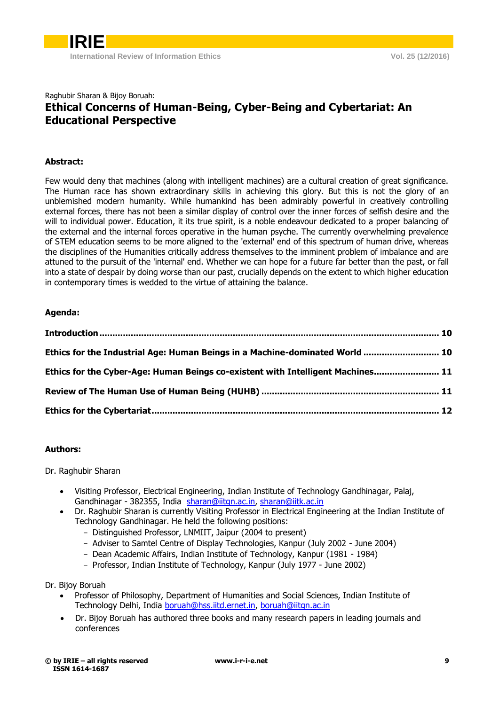### Raghubir Sharan & Bijoy Boruah: **Ethical Concerns of Human-Being, Cyber-Being and Cybertariat: An Educational Perspective**

#### **Abstract:**

Few would deny that machines (along with intelligent machines) are a cultural creation of great significance. The Human race has shown extraordinary skills in achieving this glory. But this is not the glory of an unblemished modern humanity. While humankind has been admirably powerful in creatively controlling external forces, there has not been a similar display of control over the inner forces of selfish desire and the will to individual power. Education, it its true spirit, is a noble endeavour dedicated to a proper balancing of the external and the internal forces operative in the human psyche. The currently overwhelming prevalence of STEM education seems to be more aligned to the 'external' end of this spectrum of human drive, whereas the disciplines of the Humanities critically address themselves to the imminent problem of imbalance and are attuned to the pursuit of the 'internal' end. Whether we can hope for a future far better than the past, or fall into a state of despair by doing worse than our past, crucially depends on the extent to which higher education in contemporary times is wedded to the virtue of attaining the balance.

#### **Agenda:**

| Ethics for the Industrial Age: Human Beings in a Machine-dominated World  10    |  |
|---------------------------------------------------------------------------------|--|
| Ethics for the Cyber-Age: Human Beings co-existent with Intelligent Machines 11 |  |
|                                                                                 |  |
|                                                                                 |  |

#### **Authors:**

Dr. Raghubir Sharan

- Visiting Professor, Electrical Engineering, Indian Institute of Technology Gandhinagar, Palaj, Gandhinagar - 382355, India [sharan@iitgn.ac.in,](mailto:sharan@iitgn.ac.in) [sharan@iitk.ac.in](mailto:sharan@iitk.ac.in)
- Dr. Raghubir Sharan is currently Visiting Professor in Electrical Engineering at the Indian Institute of Technology Gandhinagar. He held the following positions:
	- Distinguished Professor, LNMIIT, Jaipur (2004 to present)
	- Adviser to Samtel Centre of Display Technologies, Kanpur (July 2002 June 2004)
	- Dean Academic Affairs, Indian Institute of Technology, Kanpur (1981 1984)
	- Professor, Indian Institute of Technology, Kanpur (July 1977 June 2002)

Dr. Bijoy Boruah

- Professor of Philosophy, Department of Humanities and Social Sciences, Indian Institute of Technology Delhi, India [boruah@hss.iitd.ernet.in,](mailto:boruah@hss.iitd.ernet.in) [boruah@iitgn.ac.in](mailto:boruah@iitgn.ac.in)
- Dr. Bijoy Boruah has authored three books and many research papers in leading journals and conferences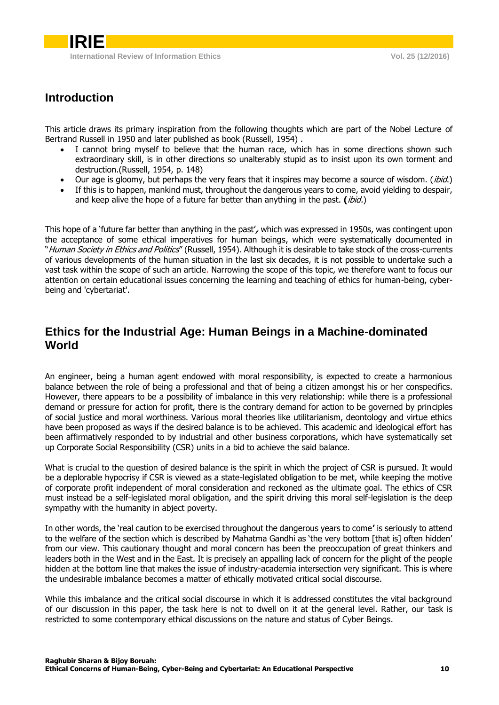## <span id="page-1-0"></span>**Introduction**

This article draws its primary inspiration from the following thoughts which are part of the Nobel Lecture of Bertrand Russell in 1950 and later published as book (Russell, 1954) .

- I cannot bring myself to believe that the human race, which has in some directions shown such extraordinary skill, is in other directions so unalterably stupid as to insist upon its own torment and destruction.(Russell, 1954, p. 148)
- Our age is gloomy, but perhaps the very fears that it inspires may become a source of wisdom. *(ibid.)*
- If this is to happen, mankind must, throughout the dangerous years to come, avoid yielding to despair, and keep alive the hope of a future far better than anything in the past. **(**ibid.)

This hope of a 'future far better than anything in the past'**,** which was expressed in 1950s, was contingent upon the acceptance of some ethical imperatives for human beings, which were systematically documented in "Human Society in Ethics and Politics" (Russell, 1954). Although it is desirable to take stock of the cross-currents of various developments of the human situation in the last six decades, it is not possible to undertake such a vast task within the scope of such an article. Narrowing the scope of this topic, we therefore want to focus our attention on certain educational issues concerning the learning and teaching of ethics for human-being, cyberbeing and 'cybertariat'.

## <span id="page-1-1"></span>**Ethics for the Industrial Age: Human Beings in a Machine-dominated World**

An engineer, being a human agent endowed with moral responsibility, is expected to create a harmonious balance between the role of being a professional and that of being a citizen amongst his or her conspecifics. However, there appears to be a possibility of imbalance in this very relationship: while there is a professional demand or pressure for action for profit, there is the contrary demand for action to be governed by principles of social justice and moral worthiness. Various moral theories like utilitarianism, deontology and virtue ethics have been proposed as ways if the desired balance is to be achieved. This academic and ideological effort has been affirmatively responded to by industrial and other business corporations, which have systematically set up Corporate Social Responsibility (CSR) units in a bid to achieve the said balance.

What is crucial to the question of desired balance is the spirit in which the project of CSR is pursued. It would be a deplorable hypocrisy if CSR is viewed as a state-legislated obligation to be met, while keeping the motive of corporate profit independent of moral consideration and reckoned as the ultimate goal. The ethics of CSR must instead be a self-legislated moral obligation, and the spirit driving this moral self-legislation is the deep sympathy with the humanity in abject poverty.

In other words, the 'real caution to be exercised throughout the dangerous years to come**'** is seriously to attend to the welfare of the section which is described by Mahatma Gandhi as 'the very bottom [that is] often hidden' from our view. This cautionary thought and moral concern has been the preoccupation of great thinkers and leaders both in the West and in the East. It is precisely an appalling lack of concern for the plight of the people hidden at the bottom line that makes the issue of industry-academia intersection very significant. This is where the undesirable imbalance becomes a matter of ethically motivated critical social discourse.

While this imbalance and the critical social discourse in which it is addressed constitutes the vital background of our discussion in this paper, the task here is not to dwell on it at the general level. Rather, our task is restricted to some contemporary ethical discussions on the nature and status of Cyber Beings.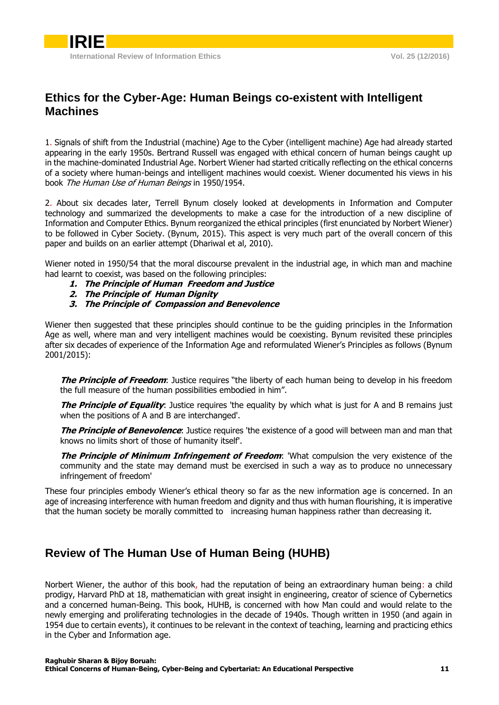# <span id="page-2-0"></span>**Ethics for the Cyber-Age: Human Beings co-existent with Intelligent Machines**

1. Signals of shift from the Industrial (machine) Age to the Cyber (intelligent machine) Age had already started appearing in the early 1950s. Bertrand Russell was engaged with ethical concern of human beings caught up in the machine-dominated Industrial Age. Norbert Wiener had started critically reflecting on the ethical concerns of a society where human-beings and intelligent machines would coexist. Wiener documented his views in his book The Human Use of Human Beings in 1950/1954.

2. About six decades later, Terrell Bynum closely looked at developments in Information and Computer technology and summarized the developments to make a case for the introduction of a new discipline of Information and Computer Ethics. Bynum reorganized the ethical principles (first enunciated by Norbert Wiener) to be followed in Cyber Society. (Bynum, 2015). This aspect is very much part of the overall concern of this paper and builds on an earlier attempt (Dhariwal et al, 2010).

Wiener noted in 1950/54 that the moral discourse prevalent in the industrial age, in which man and machine had learnt to coexist, was based on the following principles:

- **1. The Principle of Human Freedom and Justice**
- **2. The Principle of Human Dignity**
- **3. The Principle of Compassion and Benevolence**

Wiener then suggested that these principles should continue to be the guiding principles in the Information Age as well, where man and very intelligent machines would be coexisting. Bynum revisited these principles after six decades of experience of the Information Age and reformulated Wiener's Principles as follows (Bynum 2001/2015):

**The Principle of Freedom**: Justice requires "the liberty of each human being to develop in his freedom the full measure of the human possibilities embodied in him".

**The Principle of Equality:** Justice requires 'the equality by which what is just for A and B remains just when the positions of A and B are interchanged'.

**The Principle of Benevolence**: Justice requires 'the existence of a good will between man and man that knows no limits short of those of humanity itself'.

**The Principle of Minimum Infringement of Freedom**: 'What compulsion the very existence of the community and the state may demand must be exercised in such a way as to produce no unnecessary infringement of freedom'

These four principles embody Wiener's ethical theory so far as the new information age is concerned. In an age of increasing interference with human freedom and dignity and thus with human flourishing, it is imperative that the human society be morally committed to increasing human happiness rather than decreasing it.

## <span id="page-2-1"></span>**Review of The Human Use of Human Being (HUHB)**

Norbert Wiener, the author of this book, had the reputation of being an extraordinary human being: a child prodigy, Harvard PhD at 18, mathematician with great insight in engineering, creator of science of Cybernetics and a concerned human-Being. This book, HUHB, is concerned with how Man could and would relate to the newly emerging and proliferating technologies in the decade of 1940s. Though written in 1950 (and again in 1954 due to certain events), it continues to be relevant in the context of teaching, learning and practicing ethics in the Cyber and Information age.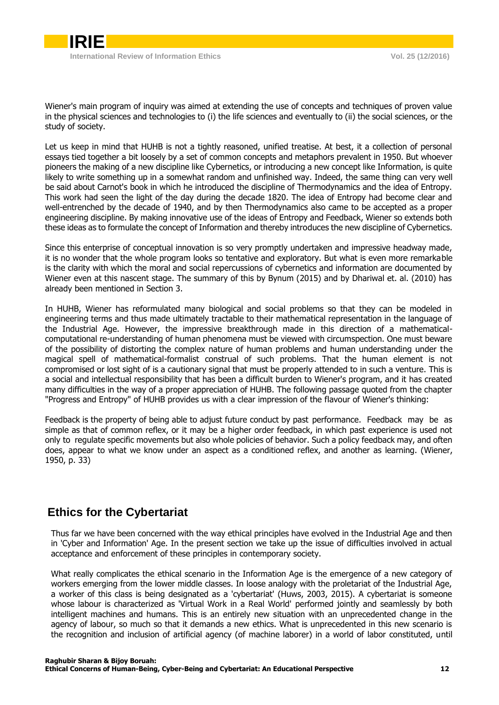Wiener's main program of inquiry was aimed at extending the use of concepts and techniques of proven value in the physical sciences and technologies to (i) the life sciences and eventually to (ii) the social sciences, or the study of society.

Let us keep in mind that HUHB is not a tightly reasoned, unified treatise. At best, it a collection of personal essays tied together a bit loosely by a set of common concepts and metaphors prevalent in 1950. But whoever pioneers the making of a new discipline like Cybernetics, or introducing a new concept like Information, is quite likely to write something up in a somewhat random and unfinished way. Indeed, the same thing can very well be said about Carnot's book in which he introduced the discipline of Thermodynamics and the idea of Entropy. This work had seen the light of the day during the decade 1820. The idea of Entropy had become clear and well-entrenched by the decade of 1940, and by then Thermodynamics also came to be accepted as a proper engineering discipline. By making innovative use of the ideas of Entropy and Feedback, Wiener so extends both these ideas as to formulate the concept of Information and thereby introduces the new discipline of Cybernetics.

Since this enterprise of conceptual innovation is so very promptly undertaken and impressive headway made, it is no wonder that the whole program looks so tentative and exploratory. But what is even more remarkable is the clarity with which the moral and social repercussions of cybernetics and information are documented by Wiener even at this nascent stage. The summary of this by Bynum (2015) and by Dhariwal et. al. (2010) has already been mentioned in Section 3.

In HUHB, Wiener has reformulated many biological and social problems so that they can be modeled in engineering terms and thus made ultimately tractable to their mathematical representation in the language of the Industrial Age. However, the impressive breakthrough made in this direction of a mathematicalcomputational re-understanding of human phenomena must be viewed with circumspection. One must beware of the possibility of distorting the complex nature of human problems and human understanding under the magical spell of mathematical-formalist construal of such problems. That the human element is not compromised or lost sight of is a cautionary signal that must be properly attended to in such a venture. This is a social and intellectual responsibility that has been a difficult burden to Wiener's program, and it has created many difficulties in the way of a proper appreciation of HUHB. The following passage quoted from the chapter "Progress and Entropy" of HUHB provides us with a clear impression of the flavour of Wiener's thinking:

Feedback is the property of being able to adjust future conduct by past performance. Feedback may be as simple as that of common reflex, or it may be a higher order feedback, in which past experience is used not only to regulate specific movements but also whole policies of behavior. Such a policy feedback may, and often does, appear to what we know under an aspect as a conditioned reflex, and another as learning. (Wiener, 1950, p. 33)

## <span id="page-3-0"></span>**Ethics for the Cybertariat**

Thus far we have been concerned with the way ethical principles have evolved in the Industrial Age and then in 'Cyber and Information' Age. In the present section we take up the issue of difficulties involved in actual acceptance and enforcement of these principles in contemporary society.

What really complicates the ethical scenario in the Information Age is the emergence of a new category of workers emerging from the lower middle classes. In loose analogy with the proletariat of the Industrial Age, a worker of this class is being designated as a 'cybertariat' (Huws, 2003, 2015). A cybertariat is someone whose labour is characterized as 'Virtual Work in a Real World' performed jointly and seamlessly by both intelligent machines and humans. This is an entirely new situation with an unprecedented change in the agency of labour, so much so that it demands a new ethics. What is unprecedented in this new scenario is the recognition and inclusion of artificial agency (of machine laborer) in a world of labor constituted, until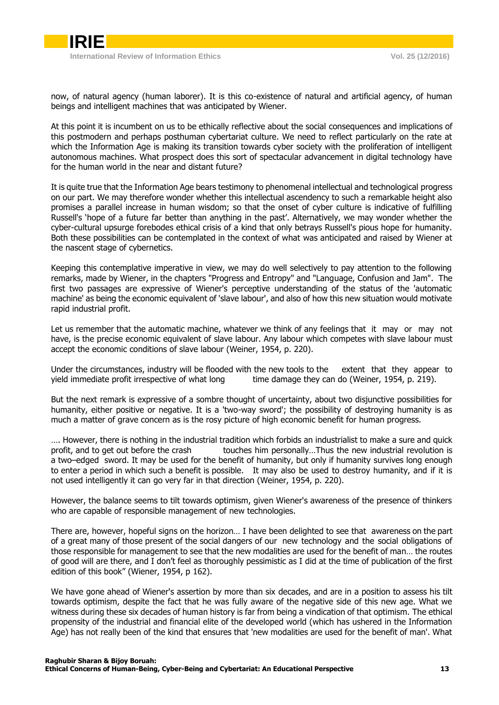

now, of natural agency (human laborer). It is this co-existence of natural and artificial agency, of human beings and intelligent machines that was anticipated by Wiener.

At this point it is incumbent on us to be ethically reflective about the social consequences and implications of this postmodern and perhaps posthuman cybertariat culture. We need to reflect particularly on the rate at which the Information Age is making its transition towards cyber society with the proliferation of intelligent autonomous machines. What prospect does this sort of spectacular advancement in digital technology have for the human world in the near and distant future?

It is quite true that the Information Age bears testimony to phenomenal intellectual and technological progress on our part. We may therefore wonder whether this intellectual ascendency to such a remarkable height also promises a parallel increase in human wisdom; so that the onset of cyber culture is indicative of fulfilling Russell's 'hope of a future far better than anything in the past'. Alternatively, we may wonder whether the cyber-cultural upsurge forebodes ethical crisis of a kind that only betrays Russell's pious hope for humanity. Both these possibilities can be contemplated in the context of what was anticipated and raised by Wiener at the nascent stage of cybernetics.

Keeping this contemplative imperative in view, we may do well selectively to pay attention to the following remarks, made by Wiener, in the chapters "Progress and Entropy" and "Language, Confusion and Jam". The first two passages are expressive of Wiener's perceptive understanding of the status of the 'automatic machine' as being the economic equivalent of 'slave labour', and also of how this new situation would motivate rapid industrial profit.

Let us remember that the automatic machine, whatever we think of any feelings that it may or may not have, is the precise economic equivalent of slave labour. Any labour which competes with slave labour must accept the economic conditions of slave labour (Weiner, 1954, p. 220).

Under the circumstances, industry will be flooded with the new tools to the extent that they appear to yield immediate profit irrespective of what long time damage they can do (Weiner, 1954, p. 219).

But the next remark is expressive of a sombre thought of uncertainty, about two disjunctive possibilities for humanity, either positive or negative. It is a 'two-way sword'; the possibility of destroying humanity is as much a matter of grave concern as is the rosy picture of high economic benefit for human progress.

…. However, there is nothing in the industrial tradition which forbids an industrialist to make a sure and quick profit, and to get out before the crash touches him personally…Thus the new industrial revolution is a two–edged sword. It may be used for the benefit of humanity, but only if humanity survives long enough to enter a period in which such a benefit is possible. It may also be used to destroy humanity, and if it is not used intelligently it can go very far in that direction (Weiner, 1954, p. 220).

However, the balance seems to tilt towards optimism, given Wiener's awareness of the presence of thinkers who are capable of responsible management of new technologies.

There are, however, hopeful signs on the horizon… I have been delighted to see that awareness on the part of a great many of those present of the social dangers of our new technology and the social obligations of those responsible for management to see that the new modalities are used for the benefit of man… the routes of good will are there, and I don't feel as thoroughly pessimistic as I did at the time of publication of the first edition of this book" (Wiener, 1954, p 162).

We have gone ahead of Wiener's assertion by more than six decades, and are in a position to assess his tilt towards optimism, despite the fact that he was fully aware of the negative side of this new age. What we witness during these six decades of human history is far from being a vindication of that optimism. The ethical propensity of the industrial and financial elite of the developed world (which has ushered in the Information Age) has not really been of the kind that ensures that 'new modalities are used for the benefit of man'. What